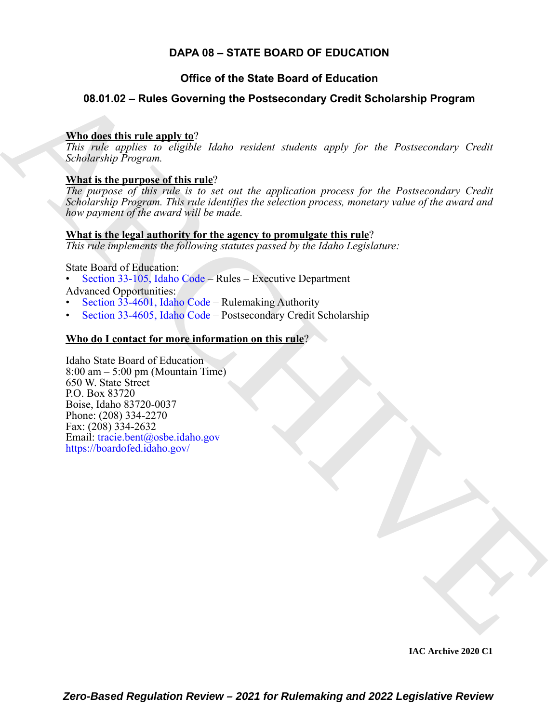### **DAPA 08 – STATE BOARD OF EDUCATION**

### **Office of the State Board of Education**

### **08.01.02 – Rules Governing the Postsecondary Credit Scholarship Program**

### **Who does this rule apply to**?

*This rule applies to eligible Idaho resident students apply for the Postsecondary Credit Scholarship Program.*

### **What is the purpose of this rule**?

*The purpose of this rule is to set out the application process for the Postsecondary Credit Scholarship Program. This rule identifies the selection process, monetary value of the award and how payment of the award will be made.*

### **What is the legal authority for the agency to promulgate this rule**?

*This rule implements the following statutes passed by the Idaho Legislature:*

State Board of Education:

- Section 33-105, Idaho Code Rules Executive Department Advanced Opportunities:
- Section 33-4601, Idaho Code Rulemaking Authority
- Section 33-4605, Idaho Code Postsecondary Credit Scholarship

### **Who do I contact for more information on this rule**?

**08.01.02 – [R](https://legislature.idaho.gov/statutesrules/idstat/Title33/T33CH1/SECT33-105/)ules Governing the Postsecondary [C](https://legislature.idaho.gov/statutesrules/idstat/Title33/T33CH46/SECT33-4601A/)redit Scholarship Program**<br>
This describes the realisation resident students explicitly for the Portecondary Credit<br>
This california, to digital higher method students explic Idaho State Board of Education 8:00 am – 5:00 pm (Mountain Time) 650 W. State Street P.O. Box 83720 Boise, Idaho 83720-0037 Phone: (208) 334-2270 Fax: (208) 334-2632 Email: tracie.bent@osbe.idaho.gov https://boardofed.idaho.gov/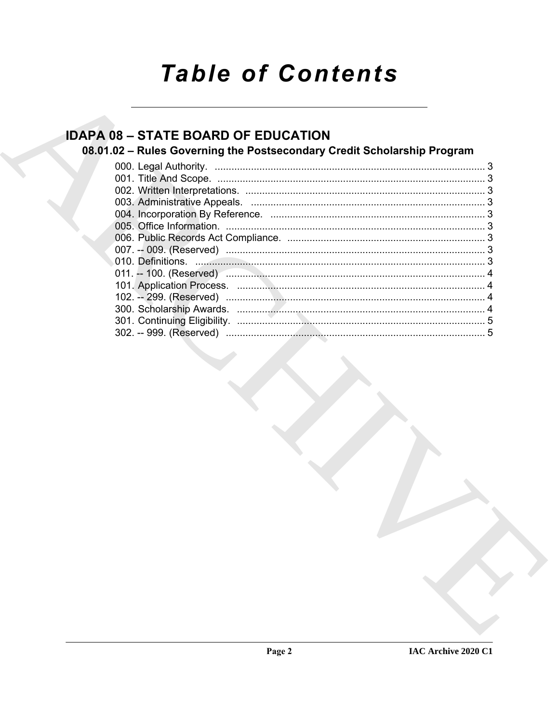# **Table of Contents**

# **IDAPA 08 - STATE BOARD OF EDUCATION**

## 08.01.02 - Rules Governing the Postsecondary Credit Scholarship Program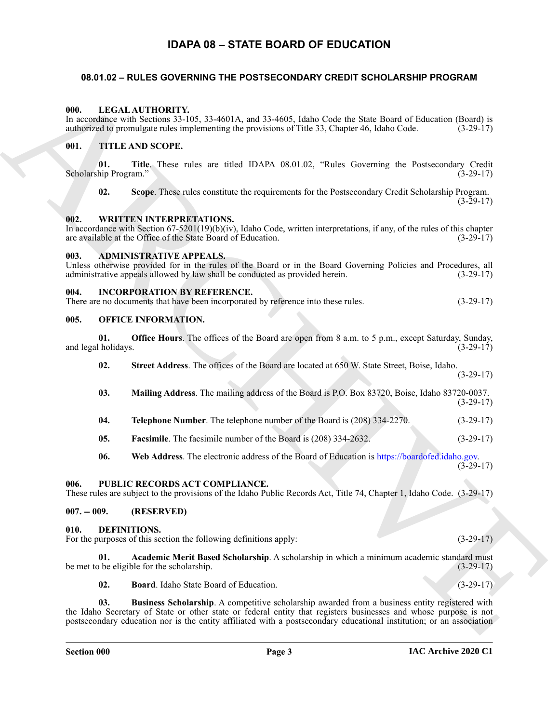### **IDAPA 08 – STATE BOARD OF EDUCATION**

### <span id="page-2-17"></span><span id="page-2-1"></span><span id="page-2-0"></span>**08.01.02 – RULES GOVERNING THE POSTSECONDARY CREDIT SCHOLARSHIP PROGRAM**

### <span id="page-2-2"></span>**000. LEGAL AUTHORITY.**

### <span id="page-2-20"></span><span id="page-2-3"></span>**001. TITLE AND SCOPE.**

### <span id="page-2-21"></span><span id="page-2-4"></span>**002. WRITTEN INTERPRETATIONS.**

### <span id="page-2-11"></span><span id="page-2-5"></span>**003. ADMINISTRATIVE APPEALS.**

### <span id="page-2-16"></span><span id="page-2-6"></span>**004. INCORPORATION BY REFERENCE.**

<span id="page-2-18"></span>

| There are no documents that have been incorporated by reference into these rules. | $(3-29-17)$ |
|-----------------------------------------------------------------------------------|-------------|
|                                                                                   |             |

### <span id="page-2-19"></span><span id="page-2-15"></span><span id="page-2-14"></span><span id="page-2-13"></span><span id="page-2-12"></span><span id="page-2-10"></span><span id="page-2-9"></span><span id="page-2-8"></span><span id="page-2-7"></span>**005. OFFICE INFORMATION.**

|  | 000.          |                              | LEGAL AUTHORITY.<br>In accordance with Sections 33-105, 33-4601A, and 33-4605, Idaho Code the State Board of Education (Board) is<br>authorized to promulgate rules implementing the provisions of Title 33, Chapter 46, Idaho Code.                                                                                                       | $(3-29-17)$ |
|--|---------------|------------------------------|--------------------------------------------------------------------------------------------------------------------------------------------------------------------------------------------------------------------------------------------------------------------------------------------------------------------------------------------|-------------|
|  | 001.          |                              | <b>TITLE AND SCOPE.</b>                                                                                                                                                                                                                                                                                                                    |             |
|  |               | 01.<br>Scholarship Program." | Title. These rules are titled IDAPA 08.01.02, "Rules Governing the Postsecondary Credit                                                                                                                                                                                                                                                    | $(3-29-17)$ |
|  |               | 02.                          | Scope. These rules constitute the requirements for the Postsecondary Credit Scholarship Program.                                                                                                                                                                                                                                           | $(3-29-17)$ |
|  | 002.          |                              | WRITTEN INTERPRETATIONS.<br>In accordance with Section $67-5201(19)(b)(iv)$ , Idaho Code, written interpretations, if any, of the rules of this chapter<br>are available at the Office of the State Board of Education.                                                                                                                    | $(3-29-17)$ |
|  | 003.          |                              | <b>ADMINISTRATIVE APPEALS.</b><br>Unless otherwise provided for in the rules of the Board or in the Board Governing Policies and Procedures, all<br>administrative appeals allowed by law shall be conducted as provided herein.                                                                                                           | $(3-29-17)$ |
|  | 004.          |                              | <b>INCORPORATION BY REFERENCE.</b><br>There are no documents that have been incorporated by reference into these rules.                                                                                                                                                                                                                    | $(3-29-17)$ |
|  | 005.          |                              | <b>OFFICE INFORMATION.</b>                                                                                                                                                                                                                                                                                                                 |             |
|  |               | 01.<br>and legal holidays.   | Office Hours. The offices of the Board are open from 8 a.m. to 5 p.m., except Saturday, Sunday,                                                                                                                                                                                                                                            | $(3-29-17)$ |
|  |               | 02.                          | Street Address. The offices of the Board are located at 650 W. State Street, Boise, Idaho.                                                                                                                                                                                                                                                 | $(3-29-17)$ |
|  |               | 03.                          | Mailing Address. The mailing address of the Board is P.O. Box 83720, Boise, Idaho 83720-0037.                                                                                                                                                                                                                                              | $(3-29-17)$ |
|  |               | 04.                          | Telephone Number. The telephone number of the Board is (208) 334-2270.                                                                                                                                                                                                                                                                     | $(3-29-17)$ |
|  |               | 05.                          | Facsimile. The facsimile number of the Board is (208) 334-2632.                                                                                                                                                                                                                                                                            | $(3-29-17)$ |
|  |               | 06.                          | Web Address. The electronic address of the Board of Education is https://boardofed.idaho.gov.                                                                                                                                                                                                                                              | $(3-29-17)$ |
|  | 006.          |                              | PUBLIC RECORDS ACT COMPLIANCE.<br>These rules are subject to the provisions of the Idaho Public Records Act, Title 74, Chapter 1, Idaho Code. (3-29-17)                                                                                                                                                                                    |             |
|  | $007. - 009.$ |                              | (RESERVED)                                                                                                                                                                                                                                                                                                                                 |             |
|  | 010.          |                              | DEFINITIONS.<br>For the purposes of this section the following definitions apply:                                                                                                                                                                                                                                                          | $(3-29-17)$ |
|  |               | 01.                          | Academic Merit Based Scholarship. A scholarship in which a minimum academic standard must<br>be met to be eligible for the scholarship.                                                                                                                                                                                                    | $(3-29-17)$ |
|  |               | 02.                          | Board. Idaho State Board of Education.                                                                                                                                                                                                                                                                                                     | $(3-29-17)$ |
|  |               | 03.                          | Business Scholarship. A competitive scholarship awarded from a business entity registered with<br>the Idaho Secretary of State or other state or federal entity that registers businesses and whose purpose is not<br>postsecondary education nor is the entity affiliated with a postsecondary educational institution; or an association |             |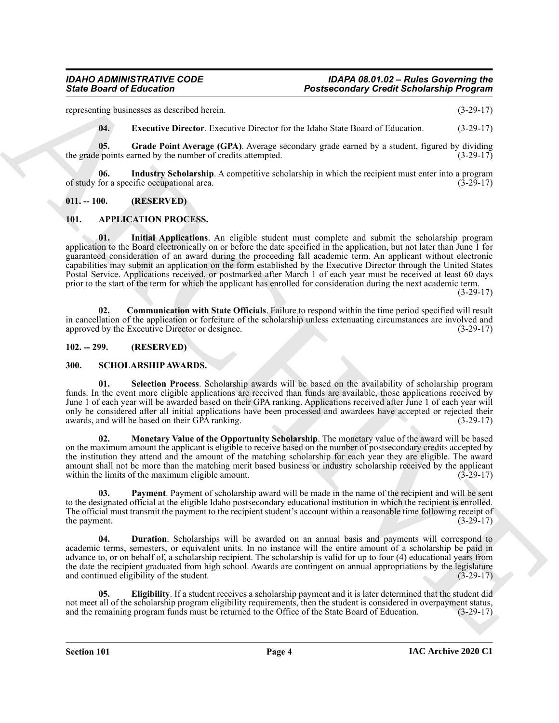representing businesses as described herein. (3-29-17)

<span id="page-3-15"></span><span id="page-3-14"></span><span id="page-3-13"></span>**04. Executive Director**. Executive Director for the Idaho State Board of Education. (3-29-17)

**05. Grade Point Average (GPA)**. Average secondary grade earned by a student, figured by dividing the grade points earned by the number of credits attempted. (3-29-17)

**06.** Industry Scholarship. A competitive scholarship in which the recipient must enter into a program for a specific occupational area. of study for a specific occupational area.

### <span id="page-3-0"></span>**011. -- 100. (RESERVED)**

### <span id="page-3-8"></span><span id="page-3-4"></span><span id="page-3-1"></span>**101. APPLICATION PROCESS.**

Since Board of Entremotive Section 1981<br>
Access and the state of the state of the state of the state of the state of the state of the state of the state of the state of the state of the state of the state of the state of **01. Initial Applications**. An eligible student must complete and submit the scholarship program application to the Board electronically on or before the date specified in the application, but not later than June 1 for guaranteed consideration of an award during the proceeding fall academic term. An applicant without electronic capabilities may submit an application on the form established by the Executive Director through the United States Postal Service. Applications received, or postmarked after March 1 of each year must be received at least 60 days prior to the start of the term for which the applicant has enrolled for consideration during the next academic term.

(3-29-17)

<span id="page-3-5"></span>**02. Communication with State Officials**. Failure to respond within the time period specified will result in cancellation of the application or forfeiture of the scholarship unless extenuating circumstances are involved and approved by the Executive Director or designee. (3-29-17)

<span id="page-3-2"></span>**102. -- 299. (RESERVED)**

### <span id="page-3-11"></span><span id="page-3-3"></span>**300. SCHOLARSHIP AWARDS.**

<span id="page-3-12"></span>**01. Selection Process**. Scholarship awards will be based on the availability of scholarship program funds. In the event more eligible applications are received than funds are available, those applications received by June 1 of each year will be awarded based on their GPA ranking. Applications received after June 1 of each year will only be considered after all initial applications have been processed and awardees have accepted or rejected their awards, and will be based on their GPA ranking. awards, and will be based on their GPA ranking.

<span id="page-3-9"></span>**02. Monetary Value of the Opportunity Scholarship**. The monetary value of the award will be based on the maximum amount the applicant is eligible to receive based on the number of postsecondary credits accepted by the institution they attend and the amount of the matching scholarship for each year they are eligible. The award amount shall not be more than the matching merit based business or industry scholarship received by the applicant within the limits of the maximum eligible amount.  $(3-29-17)$ 

<span id="page-3-10"></span>**03. Payment**. Payment of scholarship award will be made in the name of the recipient and will be sent to the designated official at the eligible Idaho postsecondary educational institution in which the recipient is enrolled. The official must transmit the payment to the recipient student's account within a reasonable time following receipt of the payment. (3-29-17) the payment.

<span id="page-3-6"></span>**04. Duration**. Scholarships will be awarded on an annual basis and payments will correspond to academic terms, semesters, or equivalent units. In no instance will the entire amount of a scholarship be paid in advance to, or on behalf of, a scholarship recipient. The scholarship is valid for up to four (4) educational years from the date the recipient graduated from high school. Awards are contingent on annual appropriations by the legislature and continued eligibility of the student. (3-29-17)

<span id="page-3-7"></span>**05. Eligibility**. If a student receives a scholarship payment and it is later determined that the student did not meet all of the scholarship program eligibility requirements, then the student is considered in overpayment status, and the remaining program funds must be returned to the Office of the State Board of Education. (3-29and the remaining program funds must be returned to the Office of the State Board of Education.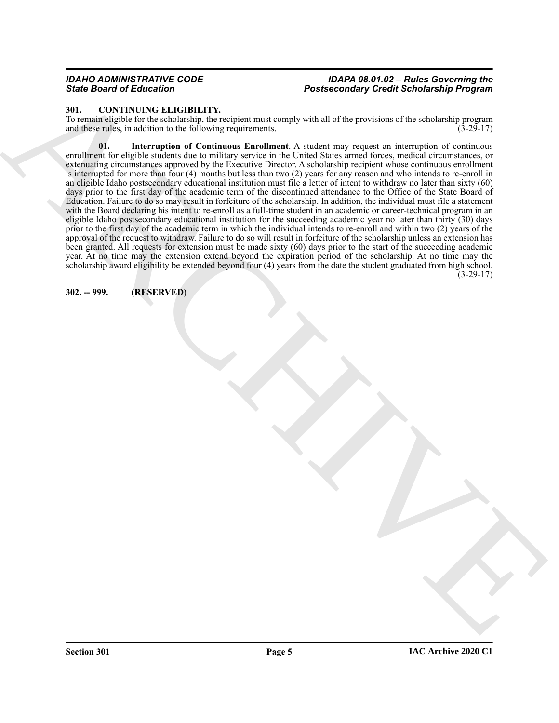### *IDAHO ADMINISTRATIVE CODE IDAPA 08.01.02 – Rules Governing the* **Postsecondary Credit Scholarship Program**

### <span id="page-4-2"></span><span id="page-4-0"></span>**301. CONTINUING ELIGIBILITY.**

<span id="page-4-3"></span>To remain eligible for the scholarship, the recipient must comply with all of the provisions of the scholarship program and these rules, in addition to the following requirements. (3-29-17) and these rules, in addition to the following requirements.

For Brazil of Fig. Excelse the state of the state of the state of the state of the state of the state of the state of the state of the state of the state of the state of the state of the state of the state of the state of **01. Interruption of Continuous Enrollment**. A student may request an interruption of continuous enrollment for eligible students due to military service in the United States armed forces, medical circumstances, or extenuating circumstances approved by the Executive Director. A scholarship recipient whose continuous enrollment is interrupted for more than four (4) months but less than two (2) years for any reason and who intends to re-enroll in an eligible Idaho postsecondary educational institution must file a letter of intent to withdraw no later than sixty (60) days prior to the first day of the academic term of the discontinued attendance to the Office of the State Board of Education. Failure to do so may result in forfeiture of the scholarship. In addition, the individual must file a statement with the Board declaring his intent to re-enroll as a full-time student in an academic or career-technical program in an eligible Idaho postsecondary educational institution for the succeeding academic year no later than thirty (30) days prior to the first day of the academic term in which the individual intends to re-enroll and within two (2) years of the approval of the request to withdraw. Failure to do so will result in forfeiture of the scholarship unless an extension has been granted. All requests for extension must be made sixty (60) days prior to the start of the succeeding academic year. At no time may the extension extend beyond the expiration period of the scholarship. At no time may the scholarship award eligibility be extended beyond four (4) years from the date the student graduated from high school.  $(3-29-17)$ 

<span id="page-4-1"></span>**302. -- 999. (RESERVED)**